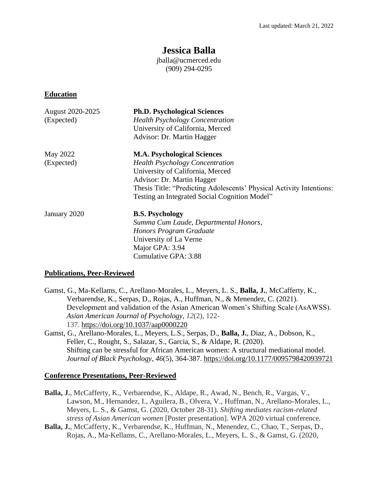# **Jessica Balla**

jballa@ucmerced.edu (909) 294-0295

#### **Education**

| August 2020-2025<br>(Expected) | <b>Ph.D. Psychological Sciences</b><br><b>Health Psychology Concentration</b><br>University of California, Merced<br>Advisor: Dr. Martin Hagger |
|--------------------------------|-------------------------------------------------------------------------------------------------------------------------------------------------|
| May 2022                       | <b>M.A. Psychological Sciences</b>                                                                                                              |
| (Expected)                     | <b>Health Psychology Concentration</b>                                                                                                          |
|                                | University of California, Merced                                                                                                                |
|                                | Advisor: Dr. Martin Hagger                                                                                                                      |
|                                | Thesis Title: "Predicting Adolescents' Physical Activity Intentions:                                                                            |
|                                | Testing an Integrated Social Cognition Model"                                                                                                   |
| January 2020                   | <b>B.S. Psychology</b>                                                                                                                          |
|                                | Summa Cum Laude, Departmental Honors,                                                                                                           |
|                                | Honors Program Graduate                                                                                                                         |
|                                | University of La Verne                                                                                                                          |
|                                | Major GPA: 3.94                                                                                                                                 |
|                                | Cumulative GPA: 3.88                                                                                                                            |

#### **Publications, Peer-Reviewed**

- Gamst, G., Ma-Kellams, C., Arellano-Morales, L., Meyers, L. S., **Balla, J.**, McCafferty, K., Verbarendse, K., Serpas, D., Rojas, A., Huffman, N., & Menendez, C. (2021). Development and validation of the Asian American Women's Shifting Scale (AsAWSS). *Asian American Journal of Psychology, 12*(2), 122- 137. [https://doi.org/10.1037/aap0000220](https://psycnet.apa.org/doi/10.1037/aap0000220)
- Gamst, G., Arellano-Morales, L., Meyers, L.S., Serpas, D., **Balla, J.**, Diaz, A., Dobson, K., Feller, C., Rought, S., Salazar, S., Garcia, S., & Aldape, R. (2020). Shifting can be stressful for African American women: A structural mediational model. *Journal of Black Psychology, 46*(5), 364-387. <https://doi.org/10.1177/0095798420939721>

### **Conference Presentations, Peer-Reviewed**

- **Balla, J.**, McCafferty, K., Verbarendse, K., Aldape, R., Awad, N., Bench, R., Vargas, V., Lawson, M., Hernandez, I., Aguilera, B., Olvera, V., Huffman, N., Arellano-Morales, L., Meyers, L. S., & Gamst, G. (2020, October 28-31). *Shifting mediates racism-related stress of Asian American women* [Poster presentation]. WPA 2020 virtual conference.
- **Balla, J.**, McCafferty, K., Verbarendse, K., Huffman, N., Menendez, C., Chao, T., Serpas, D., Rojas, A., Ma-Kellams, C., Arellano-Morales, L., Meyers, L. S., & Gamst, G. (2020,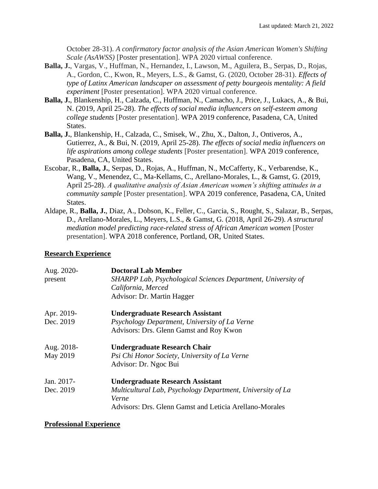October 28-31). *A confirmatory factor analysis of the Asian American Women's Shifting Scale (AsAWSS)* [Poster presentation]. WPA 2020 virtual conference.

- **Balla, J.**, Vargas, V., Huffman, N., Hernandez, I., Lawson, M., Aguilera, B., Serpas, D., Rojas, A., Gordon, C., Kwon, R., Meyers, L.S., & Gamst, G. (2020, October 28-31). *Effects of type of Latinx American landscaper on assessment of petty bourgeois mentality: A field experiment* [Poster presentation]. WPA 2020 virtual conference.
- **Balla, J.**, Blankenship, H., Calzada, C., Huffman, N., Camacho, J., Price, J., Lukacs, A., & Bui, N. (2019, April 25-28). *The effects of social media influencers on self-esteem among college students* [Poster presentation]. WPA 2019 conference, Pasadena, CA, United States.
- **Balla, J.**, Blankenship, H., Calzada, C., Smisek, W., Zhu, X., Dalton, J., Ontiveros, A., Gutierrez, A., & Bui, N. (2019, April 25-28). *The effects of social media influencers on life aspirations among college students* [Poster presentation]. WPA 2019 conference, Pasadena, CA, United States.
- Escobar, R., **Balla, J.**, Serpas, D., Rojas, A., Huffman, N., McCafferty, K., Verbarendse, K., Wang, V., Menendez, C., Ma-Kellams, C., Arellano-Morales, L., & Gamst, G. (2019, April 25-28). *A qualitative analysis of Asian American women's shifting attitudes in a community sample* [Poster presentation]. WPA 2019 conference, Pasadena, CA, United States.
- Aldape, R., **Balla, J.**, Diaz, A., Dobson, K., Feller, C., Garcia, S., Rought, S., Salazar, B., Serpas, D., Arellano-Morales, L., Meyers, L.S., & Gamst, G. (2018, April 26-29). *A structural mediation model predicting race-related stress of African American women* [Poster presentation]. WPA 2018 conference, Portland, OR, United States.

### **Research Experience**

| <b>Doctoral Lab Member</b>                                   |
|--------------------------------------------------------------|
| SHARPP Lab, Psychological Sciences Department, University of |
| California, Merced                                           |
| Advisor: Dr. Martin Hagger                                   |
| <b>Undergraduate Research Assistant</b>                      |
| Psychology Department, University of La Verne                |
| Advisors: Drs. Glenn Gamst and Roy Kwon                      |
| Undergraduate Research Chair                                 |
| Psi Chi Honor Society, University of La Verne                |
| Advisor: Dr. Ngoc Bui                                        |
| <b>Undergraduate Research Assistant</b>                      |
| Multicultural Lab, Psychology Department, University of La   |
| Verne                                                        |
| Advisors: Drs. Glenn Gamst and Leticia Arellano-Morales      |
|                                                              |

### **Professional Experience**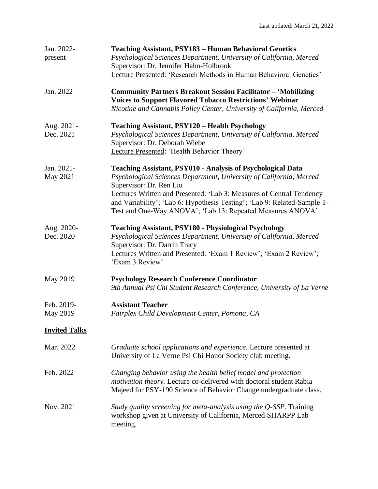| Jan. 2022-<br>present   | <b>Teaching Assistant, PSY183 - Human Behavioral Genetics</b><br>Psychological Sciences Department, University of California, Merced<br>Supervisor: Dr. Jennifer Hahn-Holbrook<br>Lecture Presented: 'Research Methods in Human Behavioral Genetics'                                                                                                                                   |
|-------------------------|----------------------------------------------------------------------------------------------------------------------------------------------------------------------------------------------------------------------------------------------------------------------------------------------------------------------------------------------------------------------------------------|
| Jan. 2022               | <b>Community Partners Breakout Session Facilitator - 'Mobilizing</b><br><b>Voices to Support Flavored Tobacco Restrictions' Webinar</b><br>Nicotine and Cannabis Policy Center, University of California, Merced                                                                                                                                                                       |
| Aug. 2021-<br>Dec. 2021 | <b>Teaching Assistant, PSY120 - Health Psychology</b><br>Psychological Sciences Department, University of California, Merced<br>Supervisor: Dr. Deborah Wiebe<br>Lecture Presented: 'Health Behavior Theory'                                                                                                                                                                           |
| Jan. 2021-<br>May 2021  | <b>Teaching Assistant, PSY010 - Analysis of Psychological Data</b><br>Psychological Sciences Department, University of California, Merced<br>Supervisor: Dr. Ren Liu<br>Lectures Written and Presented: 'Lab 3: Measures of Central Tendency<br>and Variability'; 'Lab 6: Hypothesis Testing'; 'Lab 9: Related-Sample T-<br>Test and One-Way ANOVA'; 'Lab 13: Repeated Measures ANOVA' |
| Aug. 2020-<br>Dec. 2020 | <b>Teaching Assistant, PSY180 - Physiological Psychology</b><br>Psychological Sciences Department, University of California, Merced<br>Supervisor: Dr. Darrin Tracy<br>Lectures Written and Presented: 'Exam 1 Review'; 'Exam 2 Review';<br>'Exam 3 Review'                                                                                                                            |
| May 2019                | <b>Psychology Research Conference Coordinator</b><br>9th Annual Psi Chi Student Research Conference, University of La Verne                                                                                                                                                                                                                                                            |
| Feb. 2019-<br>May 2019  | <b>Assistant Teacher</b><br>Fairplex Child Development Center, Pomona, CA                                                                                                                                                                                                                                                                                                              |
| <b>Invited Talks</b>    |                                                                                                                                                                                                                                                                                                                                                                                        |
| Mar. 2022               | Graduate school applications and experience. Lecture presented at<br>University of La Verne Psi Chi Honor Society club meeting.                                                                                                                                                                                                                                                        |
| Feb. 2022               | Changing behavior using the health belief model and protection<br>motivation theory. Lecture co-delivered with doctoral student Rabia<br>Majeed for PSY-190 Science of Behavior Change undergraduate class.                                                                                                                                                                            |
| Nov. 2021               | Study quality screening for meta-analysis using the Q-SSP. Training<br>workshop given at University of California, Merced SHARPP Lab<br>meeting.                                                                                                                                                                                                                                       |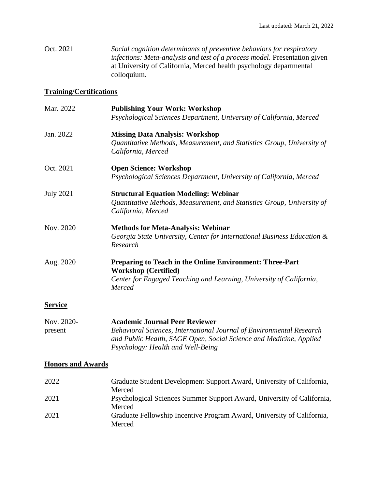Oct. 2021 *Social cognition determinants of preventive behaviors for respiratory infections: Meta-analysis and test of a process model. Presentation given* at University of California, Merced health psychology departmental colloquium.

#### **Training/Certifications**

| Mar. 2022        | <b>Publishing Your Work: Workshop</b>                                                                                                                                           |
|------------------|---------------------------------------------------------------------------------------------------------------------------------------------------------------------------------|
|                  | Psychological Sciences Department, University of California, Merced                                                                                                             |
| Jan. 2022        | <b>Missing Data Analysis: Workshop</b><br>Quantitative Methods, Measurement, and Statistics Group, University of<br>California, Merced                                          |
| Oct. 2021        | <b>Open Science: Workshop</b><br>Psychological Sciences Department, University of California, Merced                                                                            |
| <b>July 2021</b> | <b>Structural Equation Modeling: Webinar</b><br>Quantitative Methods, Measurement, and Statistics Group, University of<br>California, Merced                                    |
| Nov. 2020        | <b>Methods for Meta-Analysis: Webinar</b><br>Georgia State University, Center for International Business Education &<br>Research                                                |
| Aug. 2020        | <b>Preparing to Teach in the Online Environment: Three-Part</b><br><b>Workshop (Certified)</b><br>Center for Engaged Teaching and Learning, University of California,<br>Merced |
| <b>Service</b>   |                                                                                                                                                                                 |

Nov. 2020- **Academic Journal Peer Reviewer** present *Behavioral Sciences, International Journal of Environmental Research and Public Health, SAGE Open, Social Science and Medicine, Applied Psychology: Health and Well-Being*

### **Honors and Awards**

| Graduate Student Development Support Award, University of California,  |
|------------------------------------------------------------------------|
| Merced                                                                 |
| Psychological Sciences Summer Support Award, University of California, |
| Merced                                                                 |
| Graduate Fellowship Incentive Program Award, University of California, |
| Merced                                                                 |
|                                                                        |